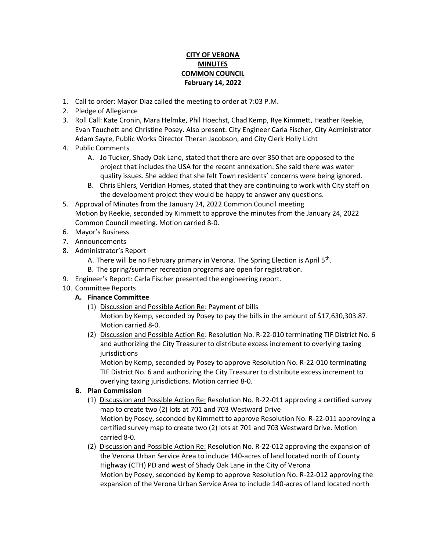## **CITY OF VERONA MINUTES COMMON COUNCIL February 14, 2022**

- 1. Call to order: Mayor Diaz called the meeting to order at 7:03 P.M.
- 2. Pledge of Allegiance
- 3. Roll Call: Kate Cronin, Mara Helmke, Phil Hoechst, Chad Kemp, Rye Kimmett, Heather Reekie, Evan Touchett and Christine Posey. Also present: City Engineer Carla Fischer, City Administrator Adam Sayre, Public Works Director Theran Jacobson, and City Clerk Holly Licht
- 4. Public Comments
	- A. Jo Tucker, Shady Oak Lane, stated that there are over 350 that are opposed to the project that includes the USA for the recent annexation. She said there was water quality issues. She added that she felt Town residents' concerns were being ignored.
	- B. Chris Ehlers, Veridian Homes, stated that they are continuing to work with City staff on the development project they would be happy to answer any questions.
- 5. Approval of Minutes from the January 24, 2022 Common Council meeting Motion by Reekie, seconded by Kimmett to approve the minutes from the January 24, 2022 Common Council meeting. Motion carried 8-0.
- 6. Mayor's Business
- 7. Announcements
- 8. Administrator's Report
	- A. There will be no February primary in Verona. The Spring Election is April 5<sup>th</sup>.
	- B. The spring/summer recreation programs are open for registration.
- 9. Engineer's Report: Carla Fischer presented the engineering report.
- 10. Committee Reports
	- **A. Finance Committee**
		- (1) Discussion and Possible Action Re: Payment of bills Motion by Kemp, seconded by Posey to pay the bills in the amount of \$17,630,303.87. Motion carried 8-0.
		- (2) Discussion and Possible Action Re: Resolution No. R-22-010 terminating TIF District No. 6 and authorizing the City Treasurer to distribute excess increment to overlying taxing jurisdictions

Motion by Kemp, seconded by Posey to approve Resolution No. R-22-010 terminating TIF District No. 6 and authorizing the City Treasurer to distribute excess increment to overlying taxing jurisdictions. Motion carried 8-0.

## **B. Plan Commission**

- (1) Discussion and Possible Action Re: Resolution No. R-22-011 approving a certified survey map to create two (2) lots at 701 and 703 Westward Drive Motion by Posey, seconded by Kimmett to approve Resolution No. R-22-011 approving a certified survey map to create two (2) lots at 701 and 703 Westward Drive. Motion carried 8-0.
- (2) Discussion and Possible Action Re: Resolution No. R-22-012 approving the expansion of the Verona Urban Service Area to include 140-acres of land located north of County Highway (CTH) PD and west of Shady Oak Lane in the City of Verona Motion by Posey, seconded by Kemp to approve Resolution No. R-22-012 approving the expansion of the Verona Urban Service Area to include 140-acres of land located north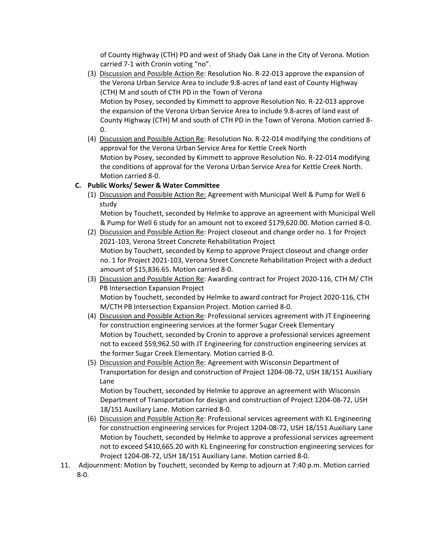of County Highway (CTH) PD and west of Shady Oak Lane in the City of Verona. Motion carried 7-1 with Cronin voting "no".

- (3) Discussion and Possible Action Re: Resolution No. R-22-013 approve the expansion of the Verona Urban Service Area to include 9.8-acres of land east of County Highway (CTH) M and south of CTH PD in the Town of Verona Motion by Posey, seconded by Kimmett to approve Resolution No. R-22-013 approve the expansion of the Verona Urban Service Area to include 9.8-acres of land east of County Highway (CTH) M and south of CTH PD in the Town of Verona. Motion carried 8- 0.
- (4) Discussion and Possible Action Re: Resolution No. R-22-014 modifying the conditions of approval for the Verona Urban Service Area for Kettle Creek North Motion by Posey, seconded by Kimmett to approve Resolution No. R-22-014 modifying the conditions of approval for the Verona Urban Service Area for Kettle Creek North. Motion carried 8-0.

## **C. Public Works/ Sewer & Water Committee**

(1) Discussion and Possible Action Re: Agreement with Municipal Well & Pump for Well 6 study

Motion by Touchett, seconded by Helmke to approve an agreement with Municipal Well & Pump for Well 6 study for an amount not to exceed \$179,620.00. Motion carried 8-0.

- (2) Discussion and Possible Action Re: Project closeout and change order no. 1 for Project 2021-103, Verona Street Concrete Rehabilitation Project Motion by Touchett, seconded by Kemp to approve Project closeout and change order no. 1 for Project 2021-103, Verona Street Concrete Rehabilitation Project with a deduct amount of \$15,836.65. Motion carried 8-0.
- (3) Discussion and Possible Action Re: Awarding contract for Project 2020-116, CTH M/ CTH PB Intersection Expansion Project Motion by Touchett, seconded by Helmke to award contract for Project 2020-116, CTH M/CTH PB Intersection Expansion Project. Motion carried 8-0.
- (4) Discussion and Possible Action Re: Professional services agreement with JT Engineering for construction engineering services at the former Sugar Creek Elementary Motion by Touchett, seconded by Cronin to approve a professional services agreement not to exceed \$59,962.50 with JT Engineering for construction engineering services at the former Sugar Creek Elementary. Motion carried 8-0.
- (5) Discussion and Possible Action Re: Agreement with Wisconsin Department of Transportation for design and construction of Project 1204-08-72, USH 18/151 Auxiliary Lane

Motion by Touchett, seconded by Helmke to approve an agreement with Wisconsin Department of Transportation for design and construction of Project 1204-08-72, USH 18/151 Auxiliary Lane. Motion carried 8-0.

- (6) Discussion and Possible Action Re: Professional services agreement with KL Engineering for construction engineering services for Project 1204-08-72, USH 18/151 Auxiliary Lane Motion by Touchett, seconded by Helmke to approve a professional services agreement not to exceed \$410,665.20 with KL Engineering for construction engineering services for Project 1204-08-72, USH 18/151 Auxiliary Lane. Motion carried 8-0.
- 11. Adjournment: Motion by Touchett, seconded by Kemp to adjourn at 7:40 p.m. Motion carried 8-0.